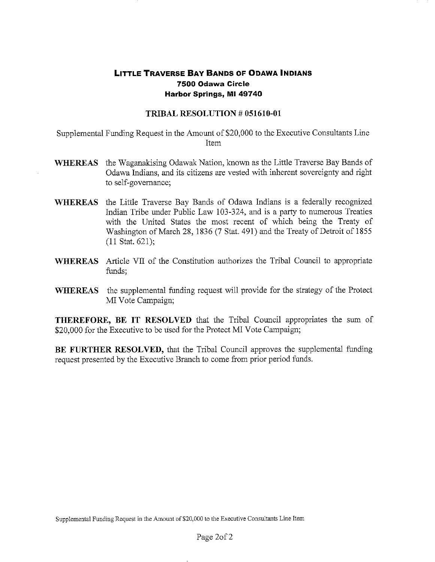## **LITTLE TRAVERSE BAY BANDS OF ODAWA INDIANS 7500 Odawa Circle Harbor Springs, MI 49740**

## **TRIBAL RESOLUTION** # **051610-01**

Supplemental Funding Request in the Amount of \$20,000 to the Executive Consultants Line Item

- **WHEREAS** the Waganakising Odawak Nation, known as the Little Traverse Bay Bands of Odawa Indians, and its citizens are vested with inherent sovereignty and right to self-governance;
- **WHEREAS** the Little Traverse Bay Bands of Odawa Indians is a federally recognized Indian Tribe under Public Law 103-324, and is a party to numerous Treaties with the United States the most recent of which being the Treaty of Washington of March 28, 1836 (7 Stat. 491) and the Treaty of Detroit of 1855 (11 Stat. 621);
- **WHEREAS** Article VII of the Constitution authorizes the Tribal Council to appropriate funds;
- **WHEREAS** the supplemental funding request will provide for the strategy of the Protect MI Vote Campaign;

**THEREFORE, BE IT RESOLVED** that the Tribal Council appropriates the sum of \$20,000 for the Executive to be used for the Protect MI Vote Campaign;

**BE FURTHER RESOLVED,** that the Tribal Council approves the supplemental funding request presented by the Executive Branch to come from prior period funds.